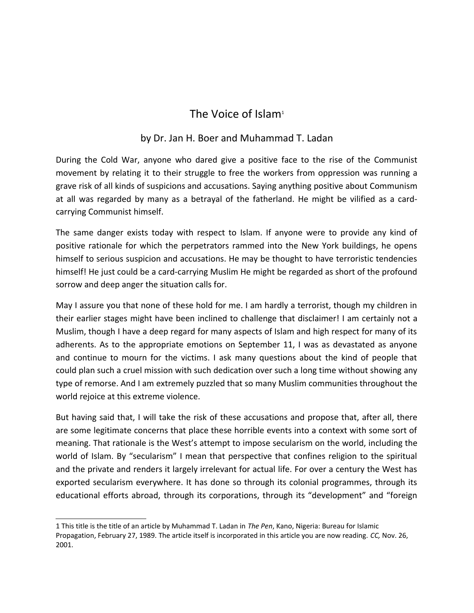## The Voice of Islam<sup>[1](#page-0-0)</sup>

## by Dr. Jan H. Boer and Muhammad T. Ladan

During the Cold War, anyone who dared give a positive face to the rise of the Communist movement by relating it to their struggle to free the workers from oppression was running a grave risk of all kinds of suspicions and accusations. Saying anything positive about Communism at all was regarded by many as a betrayal of the fatherland. He might be vilified as a cardcarrying Communist himself.

The same danger exists today with respect to Islam. If anyone were to provide any kind of positive rationale for which the perpetrators rammed into the New York buildings, he opens himself to serious suspicion and accusations. He may be thought to have terroristic tendencies himself! He just could be a card-carrying Muslim He might be regarded as short of the profound sorrow and deep anger the situation calls for.

May I assure you that none of these hold for me. I am hardly a terrorist, though my children in their earlier stages might have been inclined to challenge that disclaimer! I am certainly not a Muslim, though I have a deep regard for many aspects of Islam and high respect for many of its adherents. As to the appropriate emotions on September 11, I was as devastated as anyone and continue to mourn for the victims. I ask many questions about the kind of people that could plan such a cruel mission with such dedication over such a long time without showing any type of remorse. And I am extremely puzzled that so many Muslim communities throughout the world rejoice at this extreme violence.

But having said that, I will take the risk of these accusations and propose that, after all, there are some legitimate concerns that place these horrible events into a context with some sort of meaning. That rationale is the West's attempt to impose secularism on the world, including the world of Islam. By "secularism" I mean that perspective that confines religion to the spiritual and the private and renders it largely irrelevant for actual life. For over a century the West has exported secularism everywhere. It has done so through its colonial programmes, through its educational efforts abroad, through its corporations, through its "development" and "foreign

<span id="page-0-0"></span><sup>1</sup> This title is the title of an article by Muhammad T. Ladan in *The Pen*, Kano, Nigeria: Bureau for Islamic Propagation, February 27, 1989. The article itself is incorporated in this article you are now reading. *CC,* Nov. 26, 2001.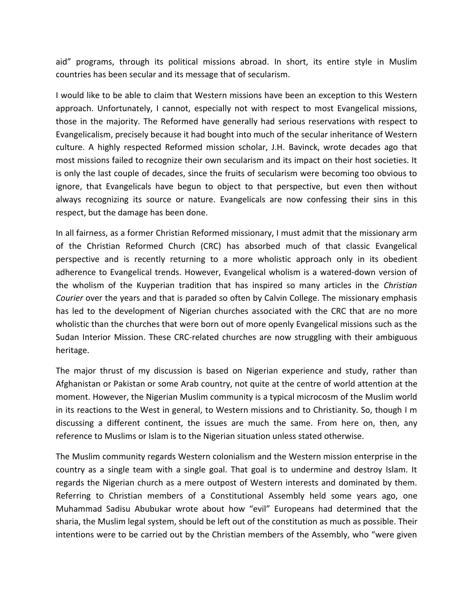aid" programs, through its political missions abroad. In short, its entire style in Muslim countries has been secular and its message that of secularism.

I would like to be able to claim that Western missions have been an exception to this Western approach. Unfortunately, I cannot, especially not with respect to most Evangelical missions, those in the majority. The Reformed have generally had serious reservations with respect to Evangelicalism, precisely because it had bought into much of the secular inheritance of Western culture. A highly respected Reformed mission scholar, J.H. Bavinck, wrote decades ago that most missions failed to recognize their own secularism and its impact on their host societies. It is only the last couple of decades, since the fruits of secularism were becoming too obvious to ignore, that Evangelicals have begun to object to that perspective, but even then without always recognizing its source or nature. Evangelicals are now confessing their sins in this respect, but the damage has been done.

In all fairness, as a former Christian Reformed missionary, I must admit that the missionary arm of the Christian Reformed Church (CRC) has absorbed much of that classic Evangelical perspective and is recently returning to a more wholistic approach only in its obedient adherence to Evangelical trends. However, Evangelical wholism is a watered-down version of the wholism of the Kuyperian tradition that has inspired so many articles in the *Christian Courier* over the years and that is paraded so often by Calvin College. The missionary emphasis has led to the development of Nigerian churches associated with the CRC that are no more wholistic than the churches that were born out of more openly Evangelical missions such as the Sudan Interior Mission. These CRC-related churches are now struggling with their ambiguous heritage.

The major thrust of my discussion is based on Nigerian experience and study, rather than Afghanistan or Pakistan or some Arab country, not quite at the centre of world attention at the moment. However, the Nigerian Muslim community is a typical microcosm of the Muslim world in its reactions to the West in general, to Western missions and to Christianity. So, though I m discussing a different continent, the issues are much the same. From here on, then, any reference to Muslims or Islam is to the Nigerian situation unless stated otherwise.

The Muslim community regards Western colonialism and the Western mission enterprise in the country as a single team with a single goal. That goal is to undermine and destroy Islam. It regards the Nigerian church as a mere outpost of Western interests and dominated by them. Referring to Christian members of a Constitutional Assembly held some years ago, one Muhammad Sadisu Abubukar wrote about how "evil" Europeans had determined that the sharia, the Muslim legal system, should be left out of the constitution as much as possible. Their intentions were to be carried out by the Christian members of the Assembly, who "were given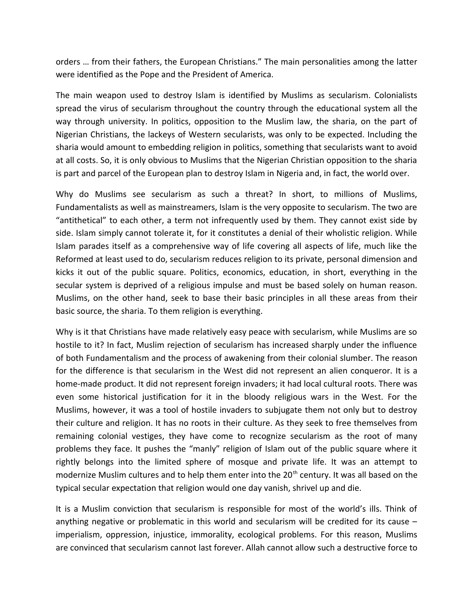orders … from their fathers, the European Christians." The main personalities among the latter were identified as the Pope and the President of America.

The main weapon used to destroy Islam is identified by Muslims as secularism. Colonialists spread the virus of secularism throughout the country through the educational system all the way through university. In politics, opposition to the Muslim law, the sharia, on the part of Nigerian Christians, the lackeys of Western secularists, was only to be expected. Including the sharia would amount to embedding religion in politics, something that secularists want to avoid at all costs. So, it is only obvious to Muslims that the Nigerian Christian opposition to the sharia is part and parcel of the European plan to destroy Islam in Nigeria and, in fact, the world over.

Why do Muslims see secularism as such a threat? In short, to millions of Muslims, Fundamentalists as well as mainstreamers, Islam is the very opposite to secularism. The two are "antithetical" to each other, a term not infrequently used by them. They cannot exist side by side. Islam simply cannot tolerate it, for it constitutes a denial of their wholistic religion. While Islam parades itself as a comprehensive way of life covering all aspects of life, much like the Reformed at least used to do, secularism reduces religion to its private, personal dimension and kicks it out of the public square. Politics, economics, education, in short, everything in the secular system is deprived of a religious impulse and must be based solely on human reason. Muslims, on the other hand, seek to base their basic principles in all these areas from their basic source, the sharia. To them religion is everything.

Why is it that Christians have made relatively easy peace with secularism, while Muslims are so hostile to it? In fact, Muslim rejection of secularism has increased sharply under the influence of both Fundamentalism and the process of awakening from their colonial slumber. The reason for the difference is that secularism in the West did not represent an alien conqueror. It is a home-made product. It did not represent foreign invaders; it had local cultural roots. There was even some historical justification for it in the bloody religious wars in the West. For the Muslims, however, it was a tool of hostile invaders to subjugate them not only but to destroy their culture and religion. It has no roots in their culture. As they seek to free themselves from remaining colonial vestiges, they have come to recognize secularism as the root of many problems they face. It pushes the "manly" religion of Islam out of the public square where it rightly belongs into the limited sphere of mosque and private life. It was an attempt to modernize Muslim cultures and to help them enter into the 20<sup>th</sup> century. It was all based on the typical secular expectation that religion would one day vanish, shrivel up and die.

It is a Muslim conviction that secularism is responsible for most of the world's ills. Think of anything negative or problematic in this world and secularism will be credited for its cause – imperialism, oppression, injustice, immorality, ecological problems. For this reason, Muslims are convinced that secularism cannot last forever. Allah cannot allow such a destructive force to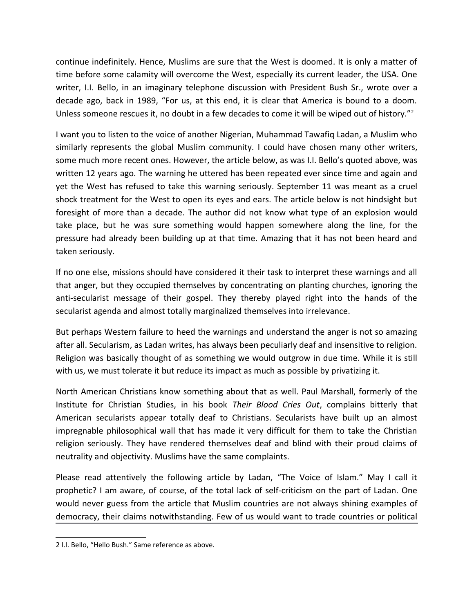continue indefinitely. Hence, Muslims are sure that the West is doomed. It is only a matter of time before some calamity will overcome the West, especially its current leader, the USA. One writer, I.I. Bello, in an imaginary telephone discussion with President Bush Sr., wrote over a decade ago, back in 1989, "For us, at this end, it is clear that America is bound to a doom. Unless someone rescues it, no doubt in a few decades to come it will be wiped out of history."<sup>[2](#page-3-0)</sup>

I want you to listen to the voice of another Nigerian, Muhammad Tawafiq Ladan, a Muslim who similarly represents the global Muslim community. I could have chosen many other writers, some much more recent ones. However, the article below, as was I.I. Bello's quoted above, was written 12 years ago. The warning he uttered has been repeated ever since time and again and yet the West has refused to take this warning seriously. September 11 was meant as a cruel shock treatment for the West to open its eyes and ears. The article below is not hindsight but foresight of more than a decade. The author did not know what type of an explosion would take place, but he was sure something would happen somewhere along the line, for the pressure had already been building up at that time. Amazing that it has not been heard and taken seriously.

If no one else, missions should have considered it their task to interpret these warnings and all that anger, but they occupied themselves by concentrating on planting churches, ignoring the anti-secularist message of their gospel. They thereby played right into the hands of the secularist agenda and almost totally marginalized themselves into irrelevance.

But perhaps Western failure to heed the warnings and understand the anger is not so amazing after all. Secularism, as Ladan writes, has always been peculiarly deaf and insensitive to religion. Religion was basically thought of as something we would outgrow in due time. While it is still with us, we must tolerate it but reduce its impact as much as possible by privatizing it.

North American Christians know something about that as well. Paul Marshall, formerly of the Institute for Christian Studies, in his book *Their Blood Cries Out*, complains bitterly that American secularists appear totally deaf to Christians. Secularists have built up an almost impregnable philosophical wall that has made it very difficult for them to take the Christian religion seriously. They have rendered themselves deaf and blind with their proud claims of neutrality and objectivity. Muslims have the same complaints.

Please read attentively the following article by Ladan, "The Voice of Islam." May I call it prophetic? I am aware, of course, of the total lack of self-criticism on the part of Ladan. One would never guess from the article that Muslim countries are not always shining examples of democracy, their claims notwithstanding. Few of us would want to trade countries or political

<span id="page-3-0"></span><sup>2</sup> I.I. Bello, "Hello Bush." Same reference as above.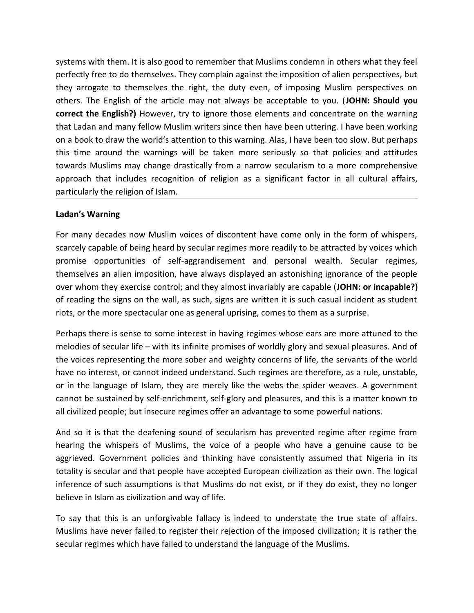systems with them. It is also good to remember that Muslims condemn in others what they feel perfectly free to do themselves. They complain against the imposition of alien perspectives, but they arrogate to themselves the right, the duty even, of imposing Muslim perspectives on others. The English of the article may not always be acceptable to you. (**JOHN: Should you correct the English?)** However, try to ignore those elements and concentrate on the warning that Ladan and many fellow Muslim writers since then have been uttering. I have been working on a book to draw the world's attention to this warning. Alas, I have been too slow. But perhaps this time around the warnings will be taken more seriously so that policies and attitudes towards Muslims may change drastically from a narrow secularism to a more comprehensive approach that includes recognition of religion as a significant factor in all cultural affairs, particularly the religion of Islam.

## **Ladan's Warning**

For many decades now Muslim voices of discontent have come only in the form of whispers, scarcely capable of being heard by secular regimes more readily to be attracted by voices which promise opportunities of self-aggrandisement and personal wealth. Secular regimes, themselves an alien imposition, have always displayed an astonishing ignorance of the people over whom they exercise control; and they almost invariably are capable (**JOHN: or incapable?)** of reading the signs on the wall, as such, signs are written it is such casual incident as student riots, or the more spectacular one as general uprising, comes to them as a surprise.

Perhaps there is sense to some interest in having regimes whose ears are more attuned to the melodies of secular life – with its infinite promises of worldly glory and sexual pleasures. And of the voices representing the more sober and weighty concerns of life, the servants of the world have no interest, or cannot indeed understand. Such regimes are therefore, as a rule, unstable, or in the language of Islam, they are merely like the webs the spider weaves. A government cannot be sustained by self-enrichment, self-glory and pleasures, and this is a matter known to all civilized people; but insecure regimes offer an advantage to some powerful nations.

And so it is that the deafening sound of secularism has prevented regime after regime from hearing the whispers of Muslims, the voice of a people who have a genuine cause to be aggrieved. Government policies and thinking have consistently assumed that Nigeria in its totality is secular and that people have accepted European civilization as their own. The logical inference of such assumptions is that Muslims do not exist, or if they do exist, they no longer believe in Islam as civilization and way of life.

To say that this is an unforgivable fallacy is indeed to understate the true state of affairs. Muslims have never failed to register their rejection of the imposed civilization; it is rather the secular regimes which have failed to understand the language of the Muslims.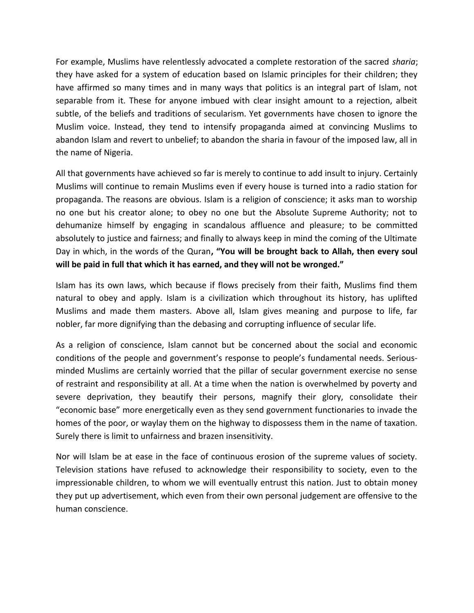For example, Muslims have relentlessly advocated a complete restoration of the sacred *sharia*; they have asked for a system of education based on Islamic principles for their children; they have affirmed so many times and in many ways that politics is an integral part of Islam, not separable from it. These for anyone imbued with clear insight amount to a rejection, albeit subtle, of the beliefs and traditions of secularism. Yet governments have chosen to ignore the Muslim voice. Instead, they tend to intensify propaganda aimed at convincing Muslims to abandon Islam and revert to unbelief; to abandon the sharia in favour of the imposed law, all in the name of Nigeria.

All that governments have achieved so far is merely to continue to add insult to injury. Certainly Muslims will continue to remain Muslims even if every house is turned into a radio station for propaganda. The reasons are obvious. Islam is a religion of conscience; it asks man to worship no one but his creator alone; to obey no one but the Absolute Supreme Authority; not to dehumanize himself by engaging in scandalous affluence and pleasure; to be committed absolutely to justice and fairness; and finally to always keep in mind the coming of the Ultimate Day in which, in the words of the Quran**, "You will be brought back to Allah, then every soul will be paid in full that which it has earned, and they will not be wronged."**

Islam has its own laws, which because if flows precisely from their faith, Muslims find them natural to obey and apply. Islam is a civilization which throughout its history, has uplifted Muslims and made them masters. Above all, Islam gives meaning and purpose to life, far nobler, far more dignifying than the debasing and corrupting influence of secular life.

As a religion of conscience, Islam cannot but be concerned about the social and economic conditions of the people and government's response to people's fundamental needs. Seriousminded Muslims are certainly worried that the pillar of secular government exercise no sense of restraint and responsibility at all. At a time when the nation is overwhelmed by poverty and severe deprivation, they beautify their persons, magnify their glory, consolidate their "economic base" more energetically even as they send government functionaries to invade the homes of the poor, or waylay them on the highway to dispossess them in the name of taxation. Surely there is limit to unfairness and brazen insensitivity.

Nor will Islam be at ease in the face of continuous erosion of the supreme values of society. Television stations have refused to acknowledge their responsibility to society, even to the impressionable children, to whom we will eventually entrust this nation. Just to obtain money they put up advertisement, which even from their own personal judgement are offensive to the human conscience.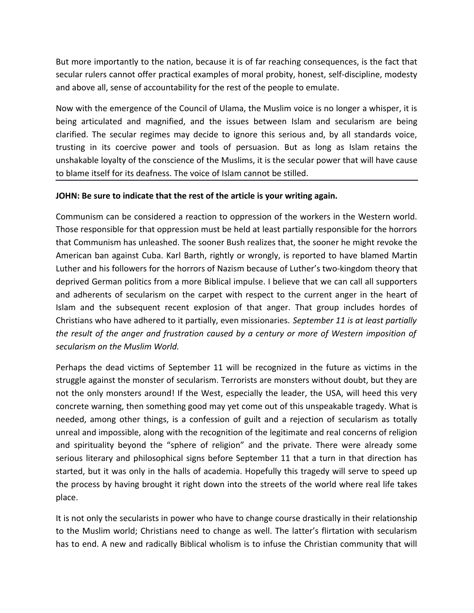But more importantly to the nation, because it is of far reaching consequences, is the fact that secular rulers cannot offer practical examples of moral probity, honest, self-discipline, modesty and above all, sense of accountability for the rest of the people to emulate.

Now with the emergence of the Council of Ulama, the Muslim voice is no longer a whisper, it is being articulated and magnified, and the issues between Islam and secularism are being clarified. The secular regimes may decide to ignore this serious and, by all standards voice, trusting in its coercive power and tools of persuasion. But as long as Islam retains the unshakable loyalty of the conscience of the Muslims, it is the secular power that will have cause to blame itself for its deafness. The voice of Islam cannot be stilled.

## **JOHN: Be sure to indicate that the rest of the article is your writing again.**

Communism can be considered a reaction to oppression of the workers in the Western world. Those responsible for that oppression must be held at least partially responsible for the horrors that Communism has unleashed. The sooner Bush realizes that, the sooner he might revoke the American ban against Cuba. Karl Barth, rightly or wrongly, is reported to have blamed Martin Luther and his followers for the horrors of Nazism because of Luther's two-kingdom theory that deprived German politics from a more Biblical impulse. I believe that we can call all supporters and adherents of secularism on the carpet with respect to the current anger in the heart of Islam and the subsequent recent explosion of that anger. That group includes hordes of Christians who have adhered to it partially, even missionaries. *September 11 is at least partially the result of the anger and frustration caused by a century or more of Western imposition of secularism on the Muslim World.*

Perhaps the dead victims of September 11 will be recognized in the future as victims in the struggle against the monster of secularism. Terrorists are monsters without doubt, but they are not the only monsters around! If the West, especially the leader, the USA, will heed this very concrete warning, then something good may yet come out of this unspeakable tragedy. What is needed, among other things, is a confession of guilt and a rejection of secularism as totally unreal and impossible, along with the recognition of the legitimate and real concerns of religion and spirituality beyond the "sphere of religion" and the private. There were already some serious literary and philosophical signs before September 11 that a turn in that direction has started, but it was only in the halls of academia. Hopefully this tragedy will serve to speed up the process by having brought it right down into the streets of the world where real life takes place.

It is not only the secularists in power who have to change course drastically in their relationship to the Muslim world; Christians need to change as well. The latter's flirtation with secularism has to end. A new and radically Biblical wholism is to infuse the Christian community that will